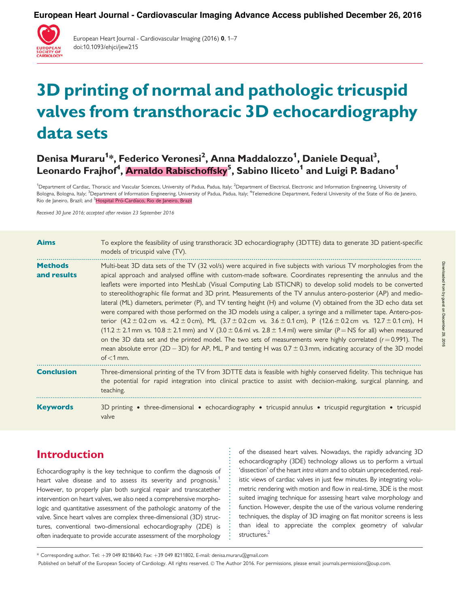**European Heart Journal - Cardiovascular Imaging Advance Access published December 26, 2016**



European Heart Journal - Cardiovascular Imaging (2016) 0, 1–7 doi:10.1093/ehjci/jew215

# 3D printing of normal and pathologic tricuspid valves from transthoracic 3D echocardiography data sets

Denisa Muraru<sup>1</sup>\*, Federico Veronesi<sup>2</sup>, Anna Maddalozzo<sup>1</sup>, Daniele Dequal<sup>3</sup>, Leonardo Frajhof<sup>4</sup>, <mark>Arnaldo Rabischoffsky<sup>5</sup>, Sabino Iliceto<sup>1</sup> and Luigi P. Badano<sup>1</sup></mark>

<sup>1</sup>Department of Cardiac, Thoracic and Vascular Sciences, University of Padua, Padua, Italy; <sup>2</sup>Department of Electrical, Electronic and Information Engineering, University of Bologna, Bologna, Italy; <sup>3</sup>Department of Information Engineering, University of Padua, Padua, Italy; <sup>4</sup>Telemedicine Department, Federal University of the State of Rio de Janeiro. Rio de Janeiro, Brazil; and <sup>5</sup>Hospital Pró-Cardíaco, Rio de Janeiro, Brazil

Received 30 June 2016; accepted after revision 23 September 2016

| <b>Aims</b>                   | To explore the feasibility of using transthoracic 3D echocardiography (3DTTE) data to generate 3D patient-specific<br>models of tricuspid valve (TV).                                                                                                                                                                                                                                                                                                                                                                                                                                                                                                                                                                                                                                                                                                                                                                                                                                                                                                                                                                                                                                                                                                                                                                                                                  |  |  |  |  |  |  |  |
|-------------------------------|------------------------------------------------------------------------------------------------------------------------------------------------------------------------------------------------------------------------------------------------------------------------------------------------------------------------------------------------------------------------------------------------------------------------------------------------------------------------------------------------------------------------------------------------------------------------------------------------------------------------------------------------------------------------------------------------------------------------------------------------------------------------------------------------------------------------------------------------------------------------------------------------------------------------------------------------------------------------------------------------------------------------------------------------------------------------------------------------------------------------------------------------------------------------------------------------------------------------------------------------------------------------------------------------------------------------------------------------------------------------|--|--|--|--|--|--|--|
| <b>Methods</b><br>and results | Multi-beat 3D data sets of the TV (32 vol/s) were acquired in five subjects with various TV morphologies from the<br>apical approach and analysed offline with custom-made software. Coordinates representing the annulus and the<br>leaflets were imported into MeshLab (Visual Computing Lab ISTICNR) to develop solid models to be converted<br>to stereolithographic file format and 3D print. Measurements of the TV annulus antero-posterior (AP) and medio-<br>lateral (ML) diameters, perimeter (P), and TV tenting height (H) and volume (V) obtained from the 3D echo data set<br>were compared with those performed on the 3D models using a caliper, a syringe and a millimeter tape. Antero-pos-<br>terior $(4.2 \pm 0.2 \text{ cm}$ vs. $4.2 \pm 0 \text{ cm}$ ), ML $(3.7 \pm 0.2 \text{ cm}$ vs. $3.6 \pm 0.1 \text{ cm}$ ), P $(12.6 \pm 0.2 \text{ cm}$ vs. $12.7 \pm 0.1 \text{ cm}$ ), H<br>$(11.2 \pm 2.1 \text{ mm} \text{ vs. } 10.8 \pm 2.1 \text{ mm})$ and V $(3.0 \pm 0.6 \text{ m} \text{ vs. } 2.8 \pm 1.4 \text{ m})$ were similar $(P = NS \text{ for all})$ when measured<br>on the 3D data set and the printed model. The two sets of measurements were highly correlated ( $r = 0.991$ ). The<br>mean absolute error (2D – 3D) for AP, ML, P and tenting H was $0.7 \pm 0.3$ mm, indicating accuracy of the 3D model<br>of $<$ 1 mm. |  |  |  |  |  |  |  |
| <b>Conclusion</b>             | Three-dimensional printing of the TV from 3DTTE data is feasible with highly conserved fidelity. This technique has<br>the potential for rapid integration into clinical practice to assist with decision-making, surgical planning, and<br>teaching.                                                                                                                                                                                                                                                                                                                                                                                                                                                                                                                                                                                                                                                                                                                                                                                                                                                                                                                                                                                                                                                                                                                  |  |  |  |  |  |  |  |
| <b>Keywords</b>               | 3D printing • three-dimensional • echocardiography • tricuspid annulus • tricuspid regurgitation • tricuspid<br>valve                                                                                                                                                                                                                                                                                                                                                                                                                                                                                                                                                                                                                                                                                                                                                                                                                                                                                                                                                                                                                                                                                                                                                                                                                                                  |  |  |  |  |  |  |  |

# Introduction

Echocardiography is the key technique to confirm the diagnosis of heart valve disease and to assess its severity and prognosis.<sup>[1](#page-6-0)</sup> However, to properly plan both surgical repair and transcatether intervention on heart valves, we also need a comprehensive morphologic and quantitative assessment of the pathologic anatomy of the valve. Since heart valves are complex three-dimensional (3D) structures, conventional two-dimensional echocardiography (2DE) is often inadequate to provide accurate assessment of the morphology of the diseased heart valves. Nowadays, the rapidly advancing 3D echocardiography (3DE) technology allows us to perform a virtual 'dissection' of the heart intra vitam and to obtain unprecedented, realistic views of cardiac valves in just few minutes. By integrating volumetric rendering with motion and flow in real-time, 3DE is the most suited imaging technique for assessing heart valve morphology and function. However, despite the use of the various volume rendering techniques, the display of 3D imaging on flat monitor screens is less than ideal to appreciate the complex geometry of valvular structures.<sup>2</sup>

\* Corresponding author. Tel: þ39 049 8218640; Fax: þ39 049 8211802, E-mail: denisa.muraru@gmail.com

Published on behalf of the European Society of Cardiology. All rights reserved. © The Author 2016. For permissions, please email: journals.permissions@oup.com.

. . . . . . . . . . . . . . . . . . . . . . . . . . . . . . .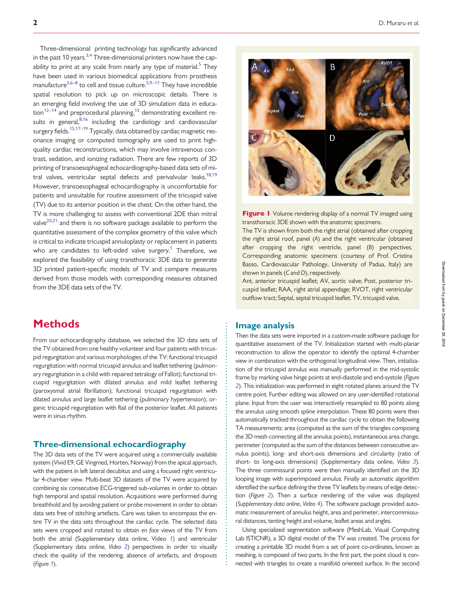Three-dimensional printing technology has significantly advanced in the past 10 years. $3,4$  $3,4$  Three-dimensional printers now have the capability to print at any scale from nearly any type of material.<sup>5</sup> They have been used in various biomedical applications from prosthesis manufacture<sup>3,[6–8](#page-6-0)</sup> to cell and tissue culture.<sup>5,9–11</sup> They have incredible spatial resolution to pick up on microscopic details. There is an emerging field involving the use of 3D simulation data in educa- $\frac{12-14}{\pi}$  and preprocedural planning,<sup>[15](#page-6-0)</sup> demonstrating excellent results in general, 8,16 including the cardiology and cardiovascular surgery fields.[15,17–19](#page-6-0) Typically, data obtained by cardiac magnetic resonance imaging or computed tomography are used to print highquality cardiac reconstructions, which may involve intravenous contrast, sedation, and ionizing radiation. There are few reports of 3D printing of transoesophageal echocardiography-based data sets of mitral valves, ventricular septal defects and perivalvular leaks.<sup>18,19</sup> However, transoesophageal echocardiography is uncomfortable for patients and unsuitable for routine assessment of the tricuspid valve (TV) due to its anterior position in the chest. On the other hand, the TV is more challenging to assess with conventional 2DE than mitral valve<sup>[20](#page-6-0),[21](#page-6-0)</sup> and there is no software package available to perform the quantitative assessment of the complex geometry of this valve which is critical to indicate tricuspid annuloplasty or replacement in patients who are candidates to left-sided valve surgery.<sup>1</sup> Therefore, we explored the feasibility of using transthoracic 3DE data to generate 3D printed patient-specific models of TV and compare measures derived from those models with corresponding measures obtained from the 3DE data sets of the TV.

# **Methods**

From our echocardiography database, we selected the 3D data sets of the TV obtained from one healthy volunteer and four patients with tricuspid regurgitation and various morphologies of the TV: functional tricuspid regurgitation with normal tricuspid annulus and leaflet tethering (pulmonary regurgitation in a child with repaired tetralogy of Fallot); functional tricuspid regurgitation with dilated annulus and mild leaflet tethering (paroxysmal atrial fibrillation); functional tricuspid regurgitation with dilated annulus and large leaflet tethering (pulmonary hypertension); organic tricuspid regurgitation with flail of the posterior leaflet. All patients were in sinus rhythm.

## Three-dimensional echocardiography

The 3D data sets of the TV were acquired using a commercially available system (Vivid E9, GE Vingmed, Horten, Norway) from the apical approach, with the patient in left lateral decubitus and using a focused right ventricular 4-chamber view. Multi-beat 3D datasets of the TV were acquired by combining six consecutive ECG-triggered sub-volumes in order to obtain high temporal and spatial resolution. Acquisitions were performed during breathhold and by avoiding patient or probe movement in order to obtain data sets free of stitching artefacts. Care was taken to encompass the entire TV in the data sets throughout the cardiac cycle. The selected data sets were cropped and rotated to obtain en face views of the TV from both the atrial (Supplementary data online, Video 1) and ventricular (Supplementary data online, Video [2](#page-2-0)) perspectives in order to visually check the quality of the rendering, absence of artefacts, and dropouts (Figure 1).



Figure I Volume rendering display of a normal TV imaged using transthoracic 3DE shown with the anatomic specimens.

The TV is shown from both the right atrial (obtained after cropping the right atrial roof, panel (A) and the right ventricular (obtained after cropping the right ventricle, panel (B) perspectives. Corresponding anatomic specimens (courtesy of Prof. Cristina Basso, Cardiovascular Pathology, University of Padua, Italy) are shown in panels (C and D), respectively.

Ant, anterior tricuspid leaflet; AV, aortic valve; Post, posterior tricuspid leaflet; RAA, right atrial appendage; RVOT, right ventricular outflow tract; Septal, septal tricuspid leaflet. TV, tricuspid valve.

## Image analysis

. . . . . . . . . . . . . . . . . . . . . . . . . . . . . . . . . . . . . . . . . . . . . . . . . . . . . . . . . . . . . . . . . . . . . . . . . . . . . . . . .

Then the data sets were imported in a custom-made software package for quantitative assessment of the TV. Initialization started with multi-planar reconstruction to allow the operator to identify the optimal 4-chamber view in combination with the orthogonal longitudinal view. Then, initialization of the tricuspid annulus was manually performed in the mid-systolic frame by marking valve hinge points at end-diastole and end-systole (Figure [2](#page-2-0)). This initialization was performed in eight rotated planes around the TV centre point. Further editing was allowed on any user-identified rotational plane. Input from the user was interactively resampled to 80 points along the annulus using smooth spline interpolation. These 80 points were then automatically tracked throughout the cardiac cycle to obtain the following TA measurements: area (computed as the sum of the triangles composing the 3D mesh connecting all the annulus points), instantaneous area change, perimeter (computed as the sum of the distances between consecutive annulus points), long- and short-axis dimensions and circularity (ratio of short- to long-axis dimensions) (Supplementary data online, Video [3](#page-3-0)). The three commissural points were then manually identified on the 3D looping image with superimposed annulus. Finally an automatic algorithm identified the surface defining the three TV leaflets by means of edge detection (Figure [2](#page-2-0)). Then a surface rendering of the valve was displayed (Supplementary data online, Video [4](#page-3-0)). The software package provided automatic measurement of annulus height, area and perimeter, intercommissural distances, tenting height and volume, leaflet areas and angles.

Using specialized segmentation software (MeshLab, Visual Computing Lab ISTICNR), a 3D digital model of the TV was created. The process for creating a printable 3D model from a set of point co-ordinates, known as meshing, is composed of two parts. In the first part, the point cloud is connected with triangles to create a manifold oriented surface. In the second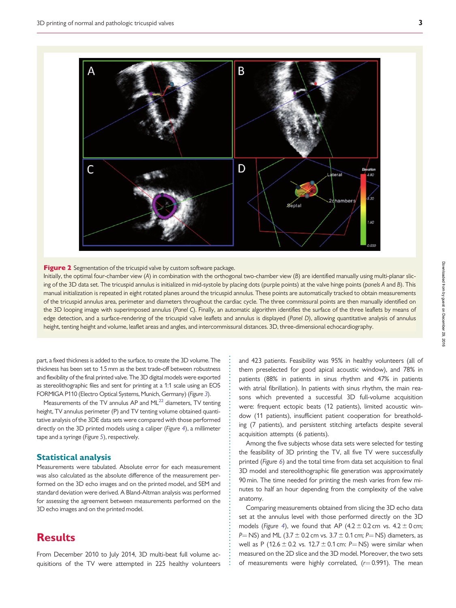<span id="page-2-0"></span>

Figure 2 Segmentation of the tricuspid valve by custom software package.

Initially, the optimal four-chamber view (A) in combination with the orthogonal two-chamber view (B) are identified manually using multi-planar slicing of the 3D data set. The tricuspid annulus is initialized in mid-systole by placing dots (purple points) at the valve hinge points (panels A and B). This manual initialization is repeated in eight rotated planes around the tricuspid annulus. These points are automatically tracked to obtain measurements of the tricuspid annulus area, perimeter and diameters throughout the cardiac cycle. The three commissural points are then manually identified on the 3D looping image with superimposed annulus (Panel C). Finally, an automatic algorithm identifies the surface of the three leaflets by means of edge detection, and a surface-rendering of the tricuspid valve leaflets and annulus is displayed (Panel D), allowing quantitative analysis of annulus height, tenting height and volume, leaflet areas and angles, and intercommissural distances. 3D, three-dimensional echocardiography.

> . . . . . . . . . . . . . . . . . . . . . . . . . . . . . . . . . . . . . . . . . . . . . . . . . . . . . . . . . . . . . . . . . . . . .

. part, a fixed thickness is added to the surface, to create the 3D volume. The thickness has been set to 1.5 mm as the best trade-off between robustness and flexibility of the final printed valve. The 3D digital models were exported as stereolithographic files and sent for printing at a 1:1 scale using an EOS FORMIGA P110 (Electro Optical Systems, Munich, Germany) (Figure [3](#page-3-0)).

Measurements of the TV annulus AP and  $ML^{22}$  diameters, TV tenting height, TV annulus perimeter (P) and TV tenting volume obtained quantitative analysis of the 3DE data sets were compared with those performed directly on the 3D printed models using a caliper (Figure [4](#page-3-0)), a millimeter tape and a syringe (Figure [5](#page-4-0)), respectively.

## Statistical analysis

Measurements were tabulated. Absolute error for each measurement was also calculated as the absolute difference of the measurement performed on the 3D echo images and on the printed model, and SEM and standard deviation were derived. A Bland-Altman analysis was performed for assessing the agreement between measurements performed on the 3D echo images and on the printed model.

## **Results**

From December 2010 to July 2014, 3D multi-beat full volume acquisitions of the TV were attempted in 225 healthy volunteers

and 423 patients. Feasibility was 95% in healthy volunteers (all of them preselected for good apical acoustic window), and 78% in patients (88% in patients in sinus rhythm and 47% in patients with atrial fibrillation). In patients with sinus rhythm, the main reasons which prevented a successful 3D full-volume acquisition were: frequent ectopic beats (12 patients), limited acoustic window (11 patients), insufficient patient cooperation for breatholding (7 patients), and persistent stitching artefacts despite several acquisition attempts (6 patients).

Among the five subjects whose data sets were selected for testing the feasibility of 3D printing the TV, all five TV were successfully printed (Figure [6](#page-4-0)) and the total time from data set acquisition to final 3D model and stereolithographic file generation was approximately 90 min. The time needed for printing the mesh varies from few minutes to half an hour depending from the complexity of the valve anatomy.

Comparing measurements obtained from slicing the 3D echo data set at the annulus level with those performed directly on the 3D models (Figure [4](#page-3-0)), we found that AP (4.2  $\pm$  0.2 cm vs. 4.2  $\pm$  0 cm; P = NS) and ML (3.7  $\pm$  0.2 cm vs. 3.7  $\pm$  0.1 cm; P = NS) diameters, as well as P (12.6  $\pm$  0.2 vs. 12.7  $\pm$  0.1 cm: P=NS) were similar when measured on the 2D slice and the 3D model. Moreover, the two sets of measurements were highly correlated,  $(r= 0.991)$ . The mean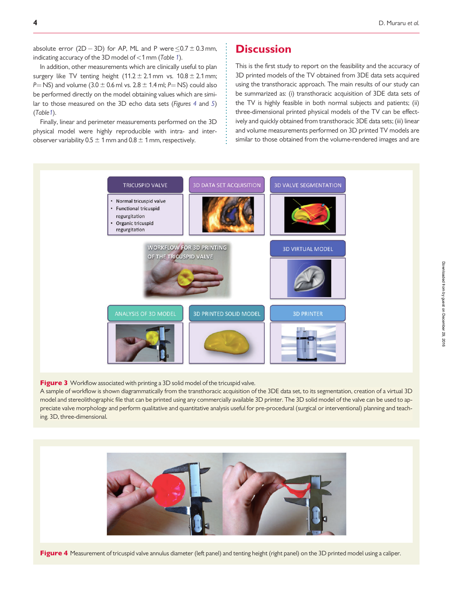<span id="page-3-0"></span>absolute error (2D - 3D) for AP, ML and P were  $\le 0.7 \pm 0.3$  mm, indicating accuracy of the 3D model of  $<$ [1](#page-5-0) mm (Table 1).

In addition, other measurements which are clinically useful to plan surgery like TV tenting height  $(11.2 \pm 2.1 \text{ mm})$  vs.  $10.8 \pm 2.1 \text{ mm}$ ; P = NS) and volume (3.0  $\pm$  0.6 ml vs. 2.8  $\pm$  1.4 ml; P = NS) could also be performed directly on the model obtaining values which are similar to those measured on the 3D echo data sets (Figures 4 and [5](#page-4-0)) (Tabl[e1](#page-5-0)).

Finally, linear and perimeter measurements performed on the 3D physical model were highly reproducible with intra- and interobserver variability  $0.5 \pm 1$  mm and  $0.8 \pm 1$  mm, respectively.

## **Discussion**

This is the first study to report on the feasibility and the accuracy of 3D printed models of the TV obtained from 3DE data sets acquired using the transthoracic approach. The main results of our study can be summarized as: (i) transthoracic acquisition of 3DE data sets of the TV is highly feasible in both normal subjects and patients; (ii) three-dimensional printed physical models of the TV can be effectively and quickly obtained from transthoracic 3DE data sets; (iii) linear and volume measurements performed on 3D printed TV models are similar to those obtained from the volume-rendered images and are



. . . . . . . . . . . . . . . . . . . . . . . . . . . . . . . . .

Figure 3 Workflow associated with printing a 3D solid model of the tricuspid valve.

A sample of workflow is shown diagrammatically from the transthoracic acquisition of the 3DE data set, to its segmentation, creation of a virtual 3D model and stereolithographic file that can be printed using any commercially available 3D printer. The 3D solid model of the valve can be used to appreciate valve morphology and perform qualitative and quantitative analysis useful for pre-procedural (surgical or interventional) planning and teaching. 3D, three-dimensional.



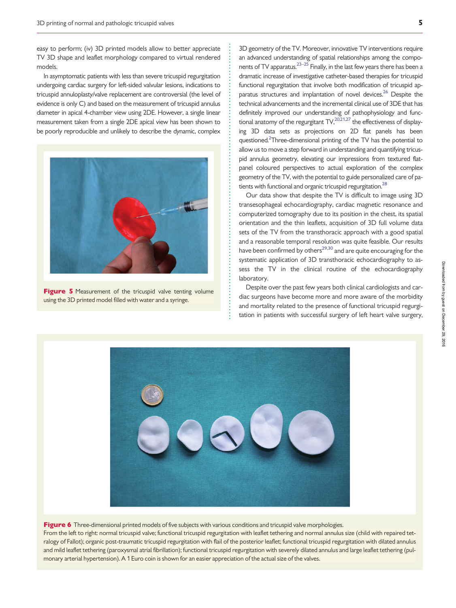<span id="page-4-0"></span>easy to perform; (iv) 3D printed models allow to better appreciate TV 3D shape and leaflet morphology compared to virtual rendered models.

In asymptomatic patients with less than severe tricuspid regurgitation undergoing cardiac surgery for left-sided valvular lesions, indications to tricuspid annuloplasty/valve replacement are controversial (the level of evidence is only C) and based on the measurement of tricuspid annulus diameter in apical 4-chamber view using 2DE. However, a single linear measurement taken from a single 2DE apical view has been shown to be poorly reproducible and unlikely to describe the dynamic, complex



Figure 5 Measurement of the tricuspid valve tenting volume using the 3D printed model filled with water and a syringe.

3D geometry of the TV. Moreover, innovative TV interventions require an advanced understanding of spatial relationships among the compo-nents of TV apparatus.<sup>[23–25](#page-6-0)</sup> Finally, in the last few years there has been a dramatic increase of investigative catheter-based therapies for tricuspid functional regurgitation that involve both modification of tricuspid apparatus structures and implantation of novel devices.<sup>26</sup> Despite the technical advancements and the incremental clinical use of 3DE that has definitely improved our understanding of pathophysiology and functional anatomy of the regurgitant  $\mathsf{TV}^{20,21,27}_n$  the effectiveness of displaying 3D data sets as projections on 2D flat panels has been questioned.<sup>2</sup>Three-dimensional printing of the TV has the potential to allow us to move a step forward in understanding and quantifying tricuspid annulus geometry, elevating our impressions from textured flatpanel coloured perspectives to actual exploration of the complex geometry of the TV, with the potential to guide personalized care of patients with functional and organic tricuspid regurgitation.<sup>28</sup>

Our data show that despite the TV is difficult to image using 3D transesophageal echocardiography, cardiac magnetic resonance and computerized tomography due to its position in the chest, its spatial orientation and the thin leaflets, acquisition of 3D full volume data sets of the TV from the transthoracic approach with a good spatial and a reasonable temporal resolution was quite feasible. Our results have been confirmed by others<sup>[29,30](#page-6-0)</sup> and are quite encouraging for the systematic application of 3D transthoracic echocardiography to assess the TV in the clinical routine of the echocardiography laboratory.

Despite over the past few years both clinical cardiologists and cardiac surgeons have become more and more aware of the morbidity and mortality related to the presence of functional tricuspid regurgitation in patients with successful surgery of left heart valve surgery,



. . . . . . . . . . . . . . . . . . . . . . . . . . . . . . . . . . . . . . . . . . . . . . . . . . . . . . . . . . . . . . . . . . . . . . . . . . . . . . . . . . . . . . . . . . .

Figure 6 Three-dimensional printed models of five subjects with various conditions and tricuspid valve morphologies. From the left to right: normal tricuspid valve; functional tricuspid regurgitation with leaflet tethering and normal annulus size (child with repaired tetralogy of Fallot); organic post-traumatic tricuspid regurgitation with flail of the posterior leaflet; functional tricuspid regurgitation with dilated annulus and mild leaflet tethering (paroxysmal atrial fibrillation); functional tricuspid regurgitation with severely dilated annulus and large leaflet tethering (pulmonary arterial hypertension). A 1 Euro coin is shown for an easier appreciation of the actual size of the valves.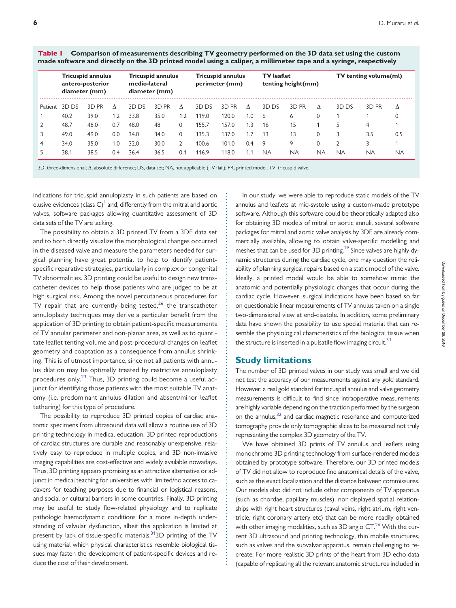<span id="page-5-0"></span>Table 1 Comparison of measurements describing TV geometry performed on the 3D data set using the custom made software and directly on the 3D printed model using a caliper, a millimeter tape and a syringe, respectively

|         | <b>Tricuspid annulus</b><br>antero-posterior<br>diameter (mm) |       | <b>Tricuspid annulus</b><br>medio-lateral<br>diameter (mm) |       |       | <b>Tricuspid annulus</b><br>perimeter (mm) |       |       | <b>TV</b> leaflet<br>tenting height(mm) |           |           | <b>TV</b> tenting volume(ml) |           |       |           |
|---------|---------------------------------------------------------------|-------|------------------------------------------------------------|-------|-------|--------------------------------------------|-------|-------|-----------------------------------------|-----------|-----------|------------------------------|-----------|-------|-----------|
| Patient | 3D DS                                                         | 3D PR | Λ                                                          | 3D DS | 3D PR | Λ                                          | 3D DS | 3D PR | $\Lambda$                               | 3D DS     | 3D PR     | Λ                            | 3D DS     | 3D PR | Δ         |
|         | 40.2                                                          | 39.0  | $\cdot$                                                    | 33.8  | 35.0  | 1.2                                        | 119.0 | 120.0 | 1.0                                     | 6         | 6         | 0                            |           |       |           |
|         | 48.7                                                          | 48.0  | 0.7                                                        | 48.0  | 48    | $\Omega$                                   | 155.7 | 157.0 | 1.3                                     | 16        | 15        |                              |           | 4     |           |
|         | 49.0                                                          | 49.0  | 0.0                                                        | 34.0  | 34.0  | $\Omega$                                   | 135.3 | 137.0 | 1.7                                     | 13        | 13        | 0                            |           | 3.5   | 0.5       |
| 4       | 34.0                                                          | 35.0  | 1.0                                                        | 32.0  | 30.0  |                                            | 100.6 | 101.0 | 0.4                                     | 9         | 9         | 0                            |           |       |           |
|         | 38.1                                                          | 38.5  | 0.4                                                        | 36.4  | 36.5  | 0.1                                        | 116.9 | 118.0 | 1.1                                     | <b>NA</b> | <b>NA</b> | ΝA                           | <b>NA</b> | ΝA    | <b>NA</b> |

3D, three-dimensional;  $\Delta$ , absolute difference; DS, data set; NA, not applicable (TV flail); PR, printed model; TV, tricuspid valve.

. indications for tricuspid annuloplasty in such patients are based on elusive evidences (class  $C<sup>1</sup>$  and, differently from the mitral and aortic valves, software packages allowing quantitative assessment of 3D data sets of the TV are lacking.

The possibility to obtain a 3D printed TV from a 3DE data set and to both directly visualize the morphological changes occurred in the diseased valve and measure the parameters needed for surgical planning have great potential to help to identify patientspecific reparative strategies, particularly in complex or congenital TV abnormalities. 3D printing could be useful to design new transcatheter devices to help those patients who are judged to be at high surgical risk. Among the novel percutaneous procedures for TV repair that are currently being tested, $26$  the transcatheter annuloplasty techniques may derive a particular benefit from the application of 3D printing to obtain patient-specific measurements of TV annular perimeter and non-planar area, as well as to quantitate leaflet tenting volume and post-procedural changes on leaflet geometry and coaptation as a consequence from annulus shrinking. This is of utmost importance, since not all patients with annulus dilation may be optimally treated by restrictive annuloplasty procedures only.<sup>[23](#page-6-0)</sup> Thus, 3D printing could become a useful adjunct for identifying those patients with the most suitable TV anatomy (i.e. predominant annulus dilation and absent/minor leaflet tethering) for this type of procedure.

The possibility to reproduce 3D printed copies of cardiac anatomic specimens from ultrasound data will allow a routine use of 3D printing technology in medical education. 3D printed reproductions of cardiac structures are durable and reasonably unexpensive, relatively easy to reproduce in multiple copies, and 3D non-invasive imaging capabilities are cost-effective and widely available nowadays. Thus, 3D printing appears promising as an attractive alternative or adjunct in medical teaching for universities with limited/no access to cadavers for teaching purposes due to financial or logistical reasons, and social or cultural barriers in some countries. Finally, 3D printing may be useful to study flow-related physiology and to replicate pathologic haemodynamic conditions for a more in-depth understanding of valvular dysfunction, albeit this application is limited at present by lack of tissue-specific materials.<sup>[31](#page-6-0)</sup>3D printing of the TV using material which physical characteristics resemble biological tissues may fasten the development of patient-specific devices and reduce the cost of their development.

In our study, we were able to reproduce static models of the TV annulus and leaflets at mid-systole using a custom-made prototype software. Although this software could be theoretically adapted also for obtaining 3D models of mitral or aortic annuli, several software packages for mitral and aortic valve analysis by 3DE are already commercially available, allowing to obtain valve-specific modelling and meshes that can be used for 3D printing.<sup>19</sup> Since valves are highly dynamic structures during the cardiac cycle, one may question the reliability of planning surgical repairs based on a static model of the valve. Ideally, a printed model would be able to somehow mimic the anatomic and potentially physiologic changes that occur during the cardiac cycle. However, surgical indications have been based so far on questionable linear measurements of TV annulus taken on a single two-dimensional view at end-diastole. In addition, some preliminary data have shown the possibility to use special material that can resemble the physiological characteristics of the biological tissue when the structure is inserted in a pulsatile flow imaging circuit.<sup>[31](#page-6-0)</sup>

#### Study limitations

. . . . . . . . . . . . . . . . . . . . . . . . . . . . . . . . . . . . . . . . . . . . . . . . . . . . . . . . . . . . . . . . . . . . . . . . . . . . . . . . . . . . . . . . . . . . . . . . . . . . . . . . . . . . . . . . . . . . . . . . . . .

The number of 3D printed valves in our study was small and we did not test the accuracy of our measurements against any gold standard. However, a real gold standard for tricuspid annulus and valve geometry measurements is difficult to find since intraoperative measurements are highly variable depending on the traction performed by the surgeon on the annulus,<sup>32</sup> and cardiac magnetic resonance and computerized tomography provide only tomographic slices to be measured not truly representing the complex 3D geometry of the TV.

We have obtained 3D prints of TV annulus and leaflets using monochrome 3D printing technology from surface-rendered models obtained by prototype software. Therefore, our 3D printed models of TV did not allow to reproduce fine anatomical details of the valve, such as the exact localization and the distance between commissures. Our models also did not include other components of TV apparatus (such as chordae, papillary muscles), nor displayed spatial relationships with right heart structures (caval veins, right atrium, right ventricle, right coronary artery etc) that can be more readily obtained with other imaging modalities, such as  $3D$  angio  $CT<sup>26</sup>$  With the current 3D ultrasound and printing technology, thin mobile structures, such as valves and the subvalvar apparatus, remain challenging to recreate. For more realistic 3D prints of the heart from 3D echo data (capable of replicating all the relevant anatomic structures included in